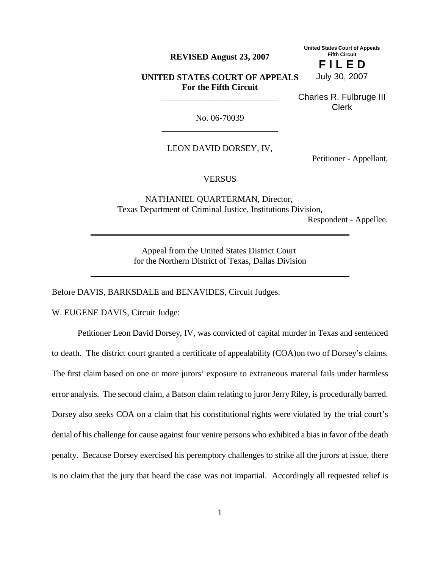**REVISED August 23, 2007**

**United States Court of Appeals Fifth Circuit F I L E D**

**UNITED STATES COURT OF APPEALS For the Fifth Circuit**

\_\_\_\_\_\_\_\_\_\_\_\_\_\_\_\_\_\_\_\_\_\_\_\_\_\_\_

Charles R. Fulbruge III Clerk

July 30, 2007

No. 06-70039 \_\_\_\_\_\_\_\_\_\_\_\_\_\_\_\_\_\_\_\_\_\_\_\_\_\_\_

LEON DAVID DORSEY, IV,

Petitioner - Appellant,

## **VERSUS**

NATHANIEL QUARTERMAN, Director, Texas Department of Criminal Justice, Institutions Division,

Respondent - Appellee.

Appeal from the United States District Court for the Northern District of Texas, Dallas Division

Before DAVIS, BARKSDALE and BENAVIDES, Circuit Judges.

W. EUGENE DAVIS, Circuit Judge:

Petitioner Leon David Dorsey, IV, was convicted of capital murder in Texas and sentenced to death. The district court granted a certificate of appealability (COA)on two of Dorsey's claims. The first claim based on one or more jurors' exposure to extraneous material fails under harmless error analysis. The second claim, a Batson claim relating to juror JerryRiley, is procedurally barred. Dorsey also seeks COA on a claim that his constitutional rights were violated by the trial court's denial of his challenge for cause against four venire persons who exhibited a biasin favor ofthe death penalty. Because Dorsey exercised his peremptory challenges to strike all the jurors at issue, there is no claim that the jury that heard the case was not impartial. Accordingly all requested relief is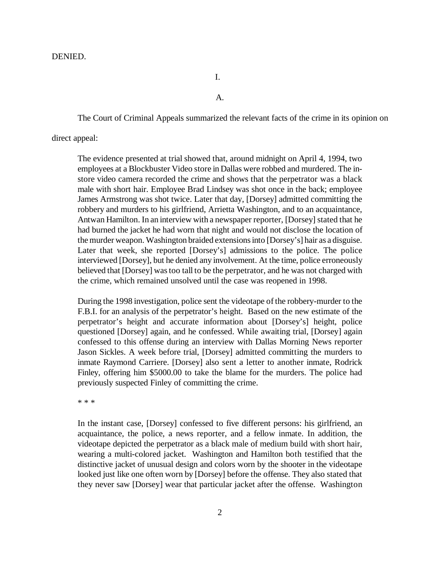I.

A.

The Court of Criminal Appeals summarized the relevant facts of the crime in its opinion on

### direct appeal:

The evidence presented at trial showed that, around midnight on April 4, 1994, two employees at a Blockbuster Video store in Dallas were robbed and murdered. The instore video camera recorded the crime and shows that the perpetrator was a black male with short hair. Employee Brad Lindsey was shot once in the back; employee James Armstrong was shot twice. Later that day, [Dorsey] admitted committing the robbery and murders to his girlfriend, Arrietta Washington, and to an acquaintance, Antwan Hamilton. In an interview with a newspaper reporter, [Dorsey] stated that he had burned the jacket he had worn that night and would not disclose the location of the murder weapon. Washington braided extensionsinto [Dorsey's] hair as a disguise. Later that week, she reported [Dorsey's] admissions to the police. The police interviewed [Dorsey], but he denied any involvement. At the time, police erroneously believed that [Dorsey] was too tall to be the perpetrator, and he was not charged with the crime, which remained unsolved until the case was reopened in 1998.

During the 1998 investigation, police sent the videotape of the robbery-murder to the F.B.I. for an analysis of the perpetrator's height. Based on the new estimate of the perpetrator's height and accurate information about [Dorsey's] height, police questioned [Dorsey] again, and he confessed. While awaiting trial, [Dorsey] again confessed to this offense during an interview with Dallas Morning News reporter Jason Sickles. A week before trial, [Dorsey] admitted committing the murders to inmate Raymond Carriere. [Dorsey] also sent a letter to another inmate, Rodrick Finley, offering him \$5000.00 to take the blame for the murders. The police had previously suspected Finley of committing the crime.

\* \* \*

In the instant case, [Dorsey] confessed to five different persons: his girlfriend, an acquaintance, the police, a news reporter, and a fellow inmate. In addition, the videotape depicted the perpetrator as a black male of medium build with short hair, wearing a multi-colored jacket. Washington and Hamilton both testified that the distinctive jacket of unusual design and colors worn by the shooter in the videotape looked just like one often worn by [Dorsey] before the offense. They also stated that they never saw [Dorsey] wear that particular jacket after the offense. Washington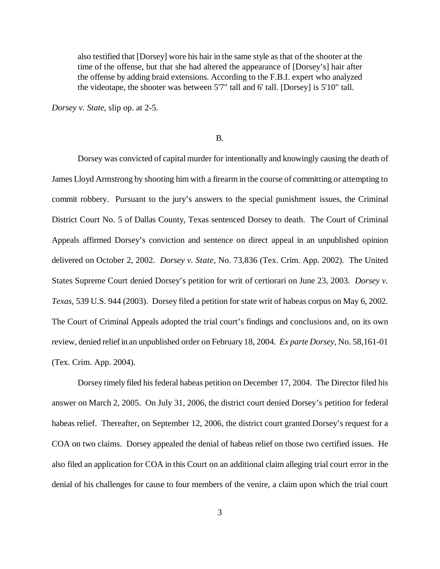also testified that [Dorsey] wore his hair in the same style as that of the shooter at the time of the offense, but that she had altered the appearance of [Dorsey's] hair after the offense by adding braid extensions. According to the F.B.I. expert who analyzed the videotape, the shooter was between 5'7" tall and 6' tall. [Dorsey] is 5'10" tall.

*Dorsey v. State*, slip op. at 2-5.

#### B.

Dorsey was convicted of capital murder for intentionally and knowingly causing the death of James Lloyd Armstrong by shooting him with a firearm in the course of committing or attempting to commit robbery. Pursuant to the jury's answers to the special punishment issues, the Criminal District Court No. 5 of Dallas County, Texas sentenced Dorsey to death. The Court of Criminal Appeals affirmed Dorsey's conviction and sentence on direct appeal in an unpublished opinion delivered on October 2, 2002. *Dorsey v. State*, No. 73,836 (Tex. Crim. App. 2002). The United States Supreme Court denied Dorsey's petition for writ of certiorari on June 23, 2003. *Dorsey v. Texas*, 539 U.S. 944 (2003). Dorsey filed a petition for state writ of habeas corpus on May 6, 2002. The Court of Criminal Appeals adopted the trial court's findings and conclusions and, on its own review, denied reliefin an unpublished order on February 18, 2004. *Ex parte Dorsey*, No. 58,161-01 (Tex. Crim. App. 2004).

Dorsey timely filed his federal habeas petition on December 17, 2004. The Director filed his answer on March 2, 2005. On July 31, 2006, the district court denied Dorsey's petition for federal habeas relief. Thereafter, on September 12, 2006, the district court granted Dorsey's request for a COA on two claims. Dorsey appealed the denial of habeas relief on those two certified issues. He also filed an application for COA in this Court on an additional claim alleging trial court error in the denial of his challenges for cause to four members of the venire, a claim upon which the trial court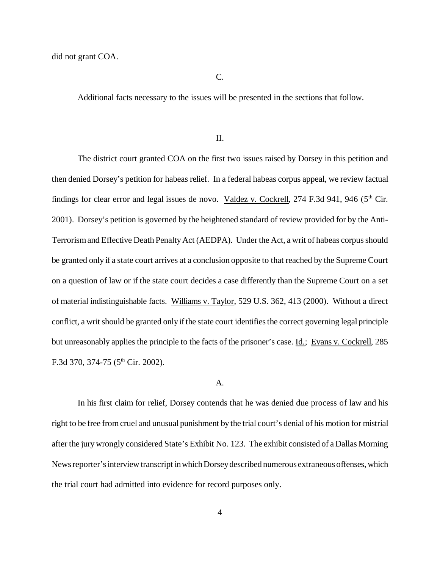C.

Additional facts necessary to the issues will be presented in the sections that follow.

II.

The district court granted COA on the first two issues raised by Dorsey in this petition and then denied Dorsey's petition for habeas relief. In a federal habeas corpus appeal, we review factual findings for clear error and legal issues de novo. Valdez v. Cockrell, 274 F.3d 941, 946 (5<sup>th</sup> Cir. 2001). Dorsey's petition is governed by the heightened standard of review provided for by the Anti-Terrorismand Effective Death PenaltyAct (AEDPA). Under the Act, a writ of habeas corpus should be granted only if a state court arrives at a conclusion opposite to that reached by the Supreme Court on a question of law or if the state court decides a case differently than the Supreme Court on a set of material indistinguishable facts. Williams v. Taylor, 529 U.S. 362, 413 (2000). Without a direct conflict, a writ should be granted only if the state court identifies the correct governing legal principle but unreasonably applies the principle to the facts of the prisoner's case. Id.; Evans v. Cockrell, 285 F.3d 370, 374-75 ( $5<sup>th</sup>$  Cir. 2002).

#### A.

In his first claim for relief, Dorsey contends that he was denied due process of law and his right to be free fromcruel and unusual punishment by the trial court's denial of his motion for mistrial after the jurywrongly considered State's Exhibit No. 123. The exhibit consisted of a Dallas Morning News reporter's interview transcript in which Dorsey described numerous extraneous offenses, which the trial court had admitted into evidence for record purposes only.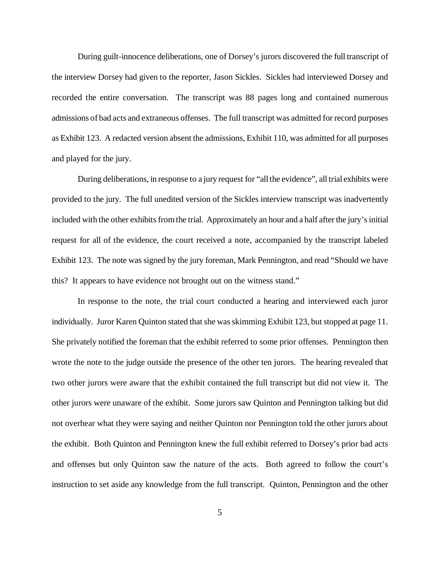During guilt-innocence deliberations, one of Dorsey's jurors discovered the full transcript of the interview Dorsey had given to the reporter, Jason Sickles. Sickles had interviewed Dorsey and recorded the entire conversation. The transcript was 88 pages long and contained numerous admissions of bad acts and extraneous offenses. The full transcript was admitted for record purposes as Exhibit 123. A redacted version absent the admissions, Exhibit 110, was admitted for all purposes and played for the jury.

During deliberations, in response to a jury request for "all the evidence", all trial exhibits were provided to the jury. The full unedited version of the Sickles interview transcript was inadvertently included with the other exhibits from the trial. Approximately an hour and a half after the jury's initial request for all of the evidence, the court received a note, accompanied by the transcript labeled Exhibit 123. The note was signed by the jury foreman, Mark Pennington, and read "Should we have this? It appears to have evidence not brought out on the witness stand."

In response to the note, the trial court conducted a hearing and interviewed each juror individually. Juror Karen Quinton stated that she was skimming Exhibit 123, but stopped at page 11. She privately notified the foreman that the exhibit referred to some prior offenses. Pennington then wrote the note to the judge outside the presence of the other ten jurors. The hearing revealed that two other jurors were aware that the exhibit contained the full transcript but did not view it. The other jurors were unaware of the exhibit. Some jurors saw Quinton and Pennington talking but did not overhear what they were saying and neither Quinton nor Pennington told the other jurors about the exhibit. Both Quinton and Pennington knew the full exhibit referred to Dorsey's prior bad acts and offenses but only Quinton saw the nature of the acts. Both agreed to follow the court's instruction to set aside any knowledge from the full transcript. Quinton, Pennington and the other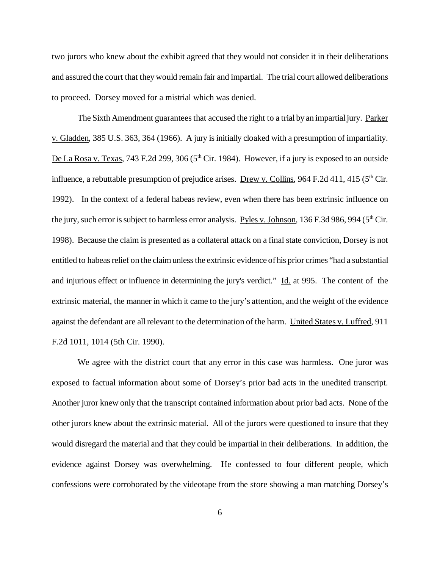two jurors who knew about the exhibit agreed that they would not consider it in their deliberations and assured the court that they would remain fair and impartial. The trial court allowed deliberations to proceed. Dorsey moved for a mistrial which was denied.

The Sixth Amendment guarantees that accused the right to a trial by an impartial jury. Parker v. Gladden, 385 U.S. 363, 364 (1966). A jury is initially cloaked with a presumption of impartiality. De La Rosa v. Texas, 743 F.2d 299, 306 (5<sup>th</sup> Cir. 1984). However, if a jury is exposed to an outside influence, a rebuttable presumption of prejudice arises. Drew v. Collins, 964 F.2d 411, 415 ( $5<sup>th</sup>$  Cir. 1992). In the context of a federal habeas review, even when there has been extrinsic influence on the jury, such error is subject to harmless error analysis. Pyles v. Johnson,  $136$  F.3d 986, 994 ( $5<sup>th</sup>$ Cir.) 1998). Because the claim is presented as a collateral attack on a final state conviction, Dorsey is not entitled to habeas relief on the claim unless the extrinsic evidence of his prior crimes "had a substantial" and injurious effect or influence in determining the jury's verdict." Id. at 995. The content of the extrinsic material, the manner in which it came to the jury's attention, and the weight of the evidence against the defendant are all relevant to the determination of the harm. United States v. Luffred, 911 F.2d 1011, 1014 (5th Cir. 1990).

We agree with the district court that any error in this case was harmless. One juror was exposed to factual information about some of Dorsey's prior bad acts in the unedited transcript. Another juror knew only that the transcript contained information about prior bad acts. None of the other jurors knew about the extrinsic material. All of the jurors were questioned to insure that they would disregard the material and that they could be impartial in their deliberations. In addition, the evidence against Dorsey was overwhelming. He confessed to four different people, which confessions were corroborated by the videotape from the store showing a man matching Dorsey's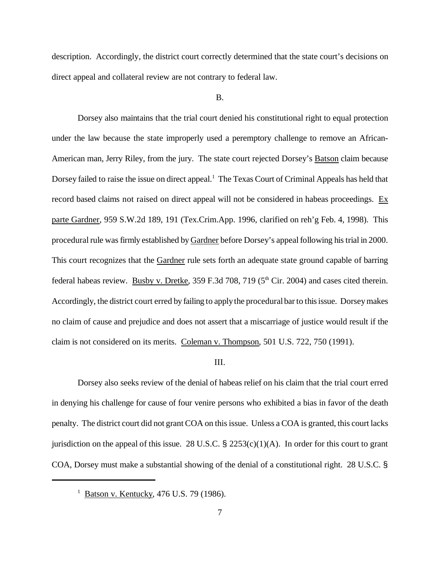description. Accordingly, the district court correctly determined that the state court's decisions on direct appeal and collateral review are not contrary to federal law.

B.

Dorsey also maintains that the trial court denied his constitutional right to equal protection under the law because the state improperly used a peremptory challenge to remove an African-American man, Jerry Riley, from the jury. The state court rejected Dorsey's Batson claim because Dorsey failed to raise the issue on direct appeal.<sup>1</sup> The Texas Court of Criminal Appeals has held that record based claims not raised on direct appeal will not be considered in habeas proceedings. Ex parte Gardner, 959 S.W.2d 189, 191 (Tex.Crim.App. 1996, clarified on reh'g Feb. 4, 1998). This procedural rule was firmly established by Gardner before Dorsey's appeal following his trial in 2000. This court recognizes that the Gardner rule sets forth an adequate state ground capable of barring federal habeas review. Busby v. Dretke, 359 F.3d 708, 719 (5<sup>th</sup> Cir. 2004) and cases cited therein. Accordingly, the district court erred by failing to applythe proceduralbar to thisissue. Dorseymakes no claim of cause and prejudice and does not assert that a miscarriage of justice would result if the claim is not considered on its merits. Coleman v. Thompson, 501 U.S. 722, 750 (1991).

## III.

Dorsey also seeks review of the denial of habeas relief on his claim that the trial court erred in denying his challenge for cause of four venire persons who exhibited a bias in favor of the death penalty. The district court did not grant COA on this issue. Unless a COA is granted, this court lacks jurisdiction on the appeal of this issue. 28 U.S.C.  $\S$  2253(c)(1)(A). In order for this court to grant COA, Dorsey must make a substantial showing of the denial of a constitutional right. 28 U.S.C. §

<sup>&</sup>lt;sup>1</sup> Batson v. Kentucky, 476 U.S. 79 (1986).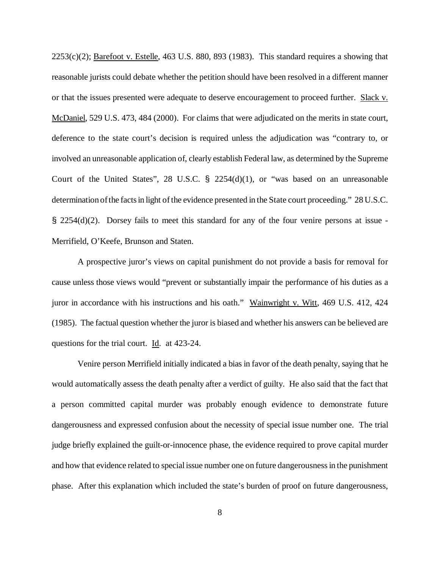$2253(c)(2)$ ; Barefoot v. Estelle, 463 U.S. 880, 893 (1983). This standard requires a showing that reasonable jurists could debate whether the petition should have been resolved in a different manner or that the issues presented were adequate to deserve encouragement to proceed further. Slack v. McDaniel, 529 U.S. 473, 484 (2000). For claims that were adjudicated on the merits in state court, deference to the state court's decision is required unless the adjudication was "contrary to, or involved an unreasonable application of, clearly establish Federal law, as determined by the Supreme Court of the United States", 28 U.S.C.  $\frac{1}{2}$  2254(d)(1), or "was based on an unreasonable determination of the facts in light of the evidence presented in the State court proceeding." 28 U.S.C. § 2254(d)(2). Dorsey fails to meet this standard for any of the four venire persons at issue - Merrifield, O'Keefe, Brunson and Staten.

A prospective juror's views on capital punishment do not provide a basis for removal for cause unless those views would "prevent or substantially impair the performance of his duties as a juror in accordance with his instructions and his oath." Wainwright v. Witt, 469 U.S. 412, 424 (1985). The factual question whether the juror is biased and whether his answers can be believed are questions for the trial court. Id. at 423-24.

Venire person Merrifield initially indicated a bias in favor of the death penalty, saying that he would automatically assess the death penalty after a verdict of guilty. He also said that the fact that a person committed capital murder was probably enough evidence to demonstrate future dangerousness and expressed confusion about the necessity of special issue number one. The trial judge briefly explained the guilt-or-innocence phase, the evidence required to prove capital murder and how that evidence related to special issue number one on future dangerousnessin the punishment phase. After this explanation which included the state's burden of proof on future dangerousness,